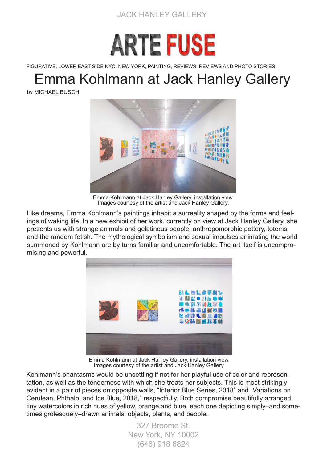



FIGURATIVE, LOWER EAST SIDE NYC, NEW YORK, PAINTING, REVIEWS, REVIEWS AND PHOTO STORIES

## Emma Kohlmann at Jack Hanley Gallery

by MICHAEL BUSCH



Emma Kohlmann at Jack Hanley Gallery, installation view. Images courtesy of the artist and Jack Hanley Gallery.

Like dreams, Emma Kohlmann's paintings inhabit a surreality shaped by the forms and feelings of waking life. In a new exhibit of her work, currently on view at Jack Hanley Gallery, she presents us with strange animals and gelatinous people, anthropomorphic pottery, totems, and the random fetish. The mythological symbolism and sexual impulses animating the world summoned by Kohlmann are by turns familiar and uncomfortable. The art itself is uncompromising and powerful.



Emma Kohlmann at Jack Hanley Gallery, installation view. Images courtesy of the artist and Jack Hanley Gallery.

Kohlmann's phantasms would be unsettling if not for her playful use of color and representation, as well as the tenderness with which she treats her subjects. This is most strikingly evident in a pair of pieces on opposite walls, "Interior Blue Series, 2018" and "Variations on Cerulean, Phthalo, and Ice Blue, 2018," respectfully. Both compromise beautifully arranged, tiny watercolors in rich hues of yellow, orange and blue, each one depicting simply–and sometimes grotesquely–drawn animals, objects, plants, and people.

> 327 Broome St. New York, NY 10002 (646) 918 6824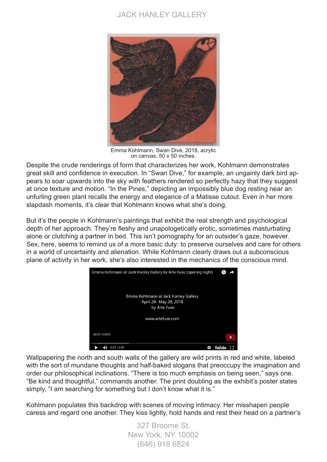## JACK HANLEY GALLERY



Emma Kohlmann, Swan Dive, 2018, acrylic on canvas, 50 x 50 inches.

Despite the crude renderings of form that characterizes her work, Kohlmann demonstrates great skill and confidence in execution. In "Swan Dive," for example, an ungainly dark bird appears to soar upwards into the sky with feathers rendered so perfectly hazy that they suggest at once texture and motion. "In the Pines," depicting an impossibly blue dog resting near an unfurling green plant recalls the energy and elegance of a Matisse cutout. Even in her more slapdash moments, it's clear that Kohlmann knows what she's doing.

But it's the people in Kohlmann's paintings that exhibit the real strength and psychological depth of her approach. They're fleshy and unapologetically erotic, sometimes masturbating alone or clutching a partner in bed. This isn't pornography for an outsider's gaze, however. Sex, here, seems to remind us of a more basic duty: to preserve ourselves and care for others in a world of uncertainty and alienation. While Kohlmann clearly draws out a subconscious plane of activity in her work, she's also interested in the mechanics of the conscious mind.



Wallpapering the north and south walls of the gallery are wild prints in red and white, labeled with the sort of mundane thoughts and half-baked slogans that preoccupy the imagination and order our philosophical inclinations. "There is too much emphasis on being seen," says one. "Be kind and thoughtful," commands another. The print doubling as the exhibit's poster states simply. "I am searching for something but I don't know what it is."

Kohlmann populates this backdrop with scenes of moving intimacy. Her misshapen people caress and regard one another. They kiss lightly, hold hands and rest their head on a partner's

> 327 Broome St. New York, NY 10002 (646) 918 6824